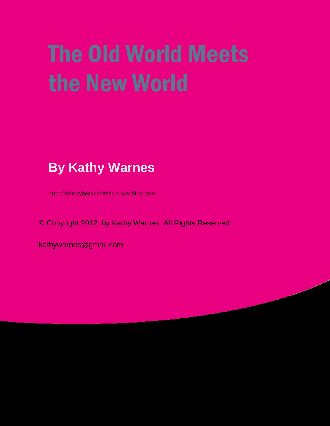# The Old World Meets the New World

### **By Kathy Warnes**

http://historybecauseitshere.weebley.com

© Copyright 2012 by Kathy Warnes. All Rights Reserved.

kathywarnes@gmail.com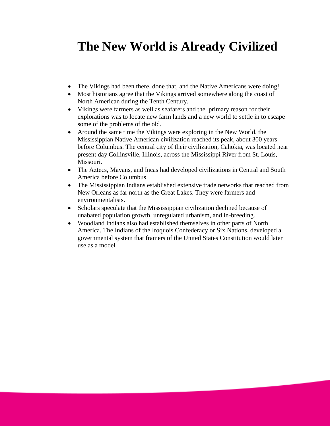### **The New World is Already Civilized**

- The Vikings had been there, done that, and the Native Americans were doing!
- Most historians agree that the Vikings arrived somewhere along the coast of North American during the Tenth Century.
- Vikings were farmers as well as seafarers and the primary reason for their explorations was to locate new farm lands and a new world to settle in to escape some of the problems of the old.
- Around the same time the Vikings were exploring in the New World, the Mississippian Native American civilization reached its peak, about 300 years before Columbus. The central city of their civilization, Cahokia, was located near present day Collinsville, Illinois, across the Mississippi River from St. Louis, Missouri.
- The Aztecs, Mayans, and Incas had developed civilizations in Central and South America before Columbus.
- The Mississippian Indians established extensive trade networks that reached from New Orleans as far north as the Great Lakes. They were farmers and environmentalists.
- Scholars speculate that the Mississippian civilization declined because of unabated population growth, unregulated urbanism, and in-breeding.
- Woodland Indians also had established themselves in other parts of North America. The Indians of the Iroquois Confederacy or Six Nations, developed a governmental system that framers of the United States Constitution would later use as a model.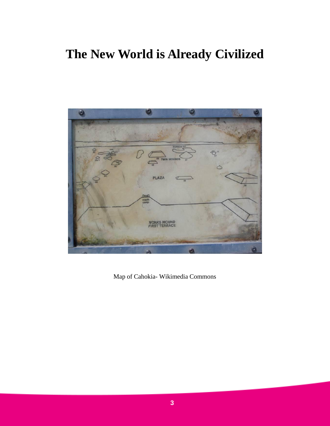### **The New World is Already Civilized**



Map of Cahokia- Wikimedia Commons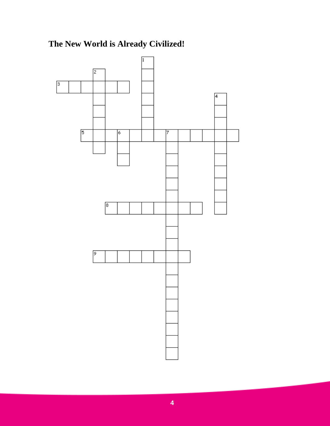

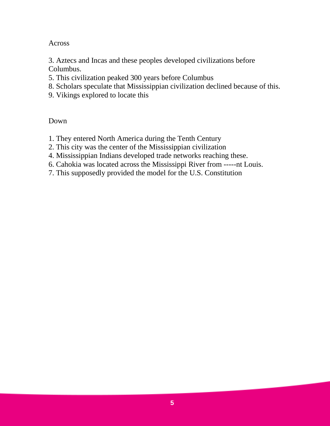Across

3. Aztecs and Incas and these peoples developed civilizations before Columbus.

- 5. This civilization peaked 300 years before Columbus
- 8. Scholars speculate that Mississippian civilization declined because of this.
- 9. Vikings explored to locate this

- 1. They entered North America during the Tenth Century
- 2. This city was the center of the Mississippian civilization
- 4. Mississippian Indians developed trade networks reaching these.
- 6. Cahokia was located across the Mississippi River from -----nt Louis.
- 7. This supposedly provided the model for the U.S. Constitution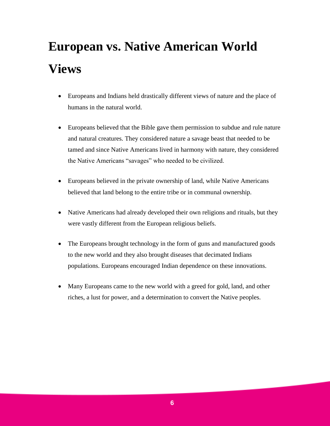## **European vs. Native American World Views**

- Europeans and Indians held drastically different views of nature and the place of humans in the natural world.
- Europeans believed that the Bible gave them permission to subdue and rule nature and natural creatures. They considered nature a savage beast that needed to be tamed and since Native Americans lived in harmony with nature, they considered the Native Americans "savages" who needed to be civilized.
- Europeans believed in the private ownership of land, while Native Americans believed that land belong to the entire tribe or in communal ownership.
- Native Americans had already developed their own religions and rituals, but they were vastly different from the European religious beliefs.
- The Europeans brought technology in the form of guns and manufactured goods to the new world and they also brought diseases that decimated Indians populations. Europeans encouraged Indian dependence on these innovations.
- Many Europeans came to the new world with a greed for gold, land, and other riches, a lust for power, and a determination to convert the Native peoples.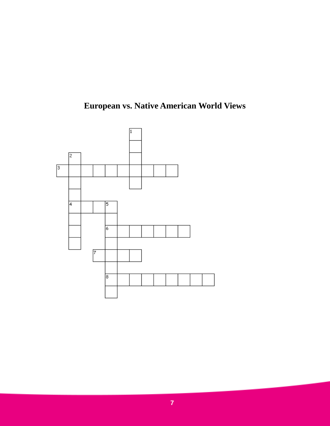

**European vs. Native American World Views**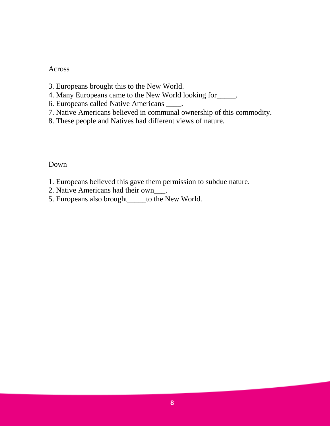#### Across

- 3. Europeans brought this to the New World.
- 4. Many Europeans came to the New World looking for\_\_\_\_\_.
- 6. Europeans called Native Americans \_\_\_\_.
- 7. Native Americans believed in communal ownership of this commodity.
- 8. These people and Natives had different views of nature.

- 1. Europeans believed this gave them permission to subdue nature.
- 2. Native Americans had their own\_\_\_.
- 5. Europeans also brought\_\_\_\_\_to the New World.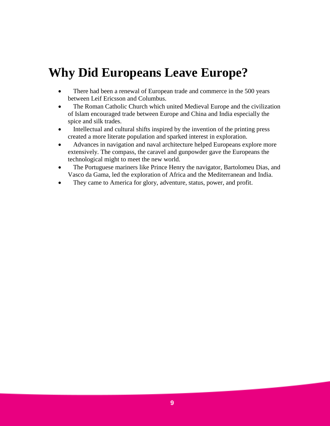### **Why Did Europeans Leave Europe?**

- There had been a renewal of European trade and commerce in the 500 years between Leif Ericsson and Columbus.
- The Roman Catholic Church which united Medieval Europe and the civilization of Islam encouraged trade between Europe and China and India especially the spice and silk trades.
- Intellectual and cultural shifts inspired by the invention of the printing press created a more literate population and sparked interest in exploration.
- Advances in navigation and naval architecture helped Europeans explore more extensively. The compass, the caravel and gunpowder gave the Europeans the technological might to meet the new world.
- The Portuguese mariners like Prince Henry the navigator, Bartolomeu Dias, and Vasco da Gama, led the exploration of Africa and the Mediterranean and India.
- They came to America for glory, adventure, status, power, and profit.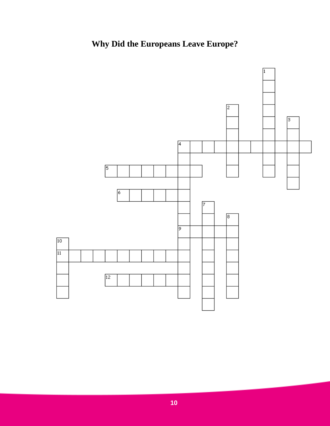### **Why Did the Europeans Leave Europe?**

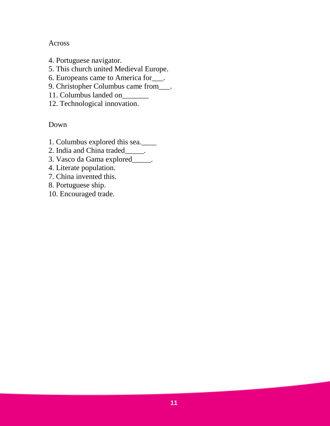#### Across

- 4. Portuguese navigator.
- 5. This church united Medieval Europe.
- 6. Europeans came to America for\_\_\_.
- 9. Christopher Columbus came from\_\_\_.
- 11. Columbus landed on\_\_\_\_\_\_\_
- 12. Technological innovation.

- 1. Columbus explored this sea.\_\_\_\_
- 2. India and China traded\_\_\_\_\_.
- 3. Vasco da Gama explored\_\_\_\_\_.
- 4. Literate population.
- 7. China invented this.
- 8. Portuguese ship.
- 10. Encouraged trade.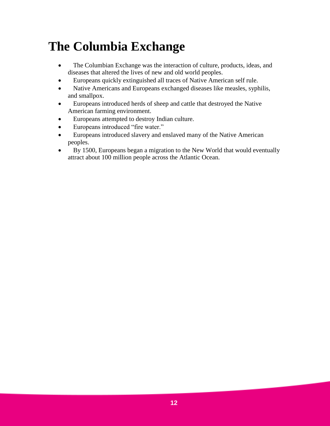### **The Columbia Exchange**

- The Columbian Exchange was the interaction of culture, products, ideas, and diseases that altered the lives of new and old world peoples.
- Europeans quickly extinguished all traces of Native American self rule.
- Native Americans and Europeans exchanged diseases like measles, syphilis, and smallpox.
- Europeans introduced herds of sheep and cattle that destroyed the Native American farming environment.
- Europeans attempted to destroy Indian culture.
- Europeans introduced "fire water."
- Europeans introduced slavery and enslaved many of the Native American peoples.
- By 1500, Europeans began a migration to the New World that would eventually attract about 100 million people across the Atlantic Ocean.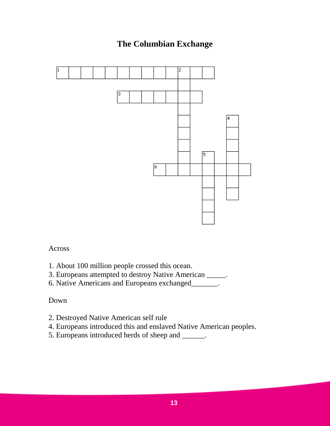#### **The Columbian Exchange**



#### Across

- 1. About 100 million people crossed this ocean.
- 3. Europeans attempted to destroy Native American \_\_\_\_\_.
- 6. Native Americans and Europeans exchanged\_\_\_\_\_\_\_.

- 2. Destroyed Native American self rule
- 4. Europeans introduced this and enslaved Native American peoples.
- 5. Europeans introduced herds of sheep and \_\_\_\_\_\_.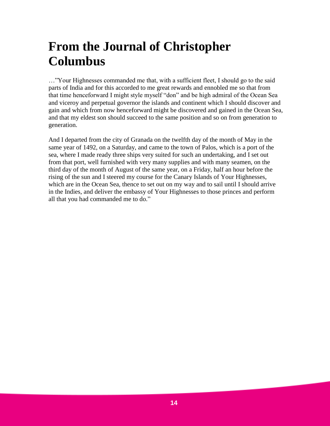### **From the Journal of Christopher Columbus**

…"Your Highnesses commanded me that, with a sufficient fleet, I should go to the said parts of India and for this accorded to me great rewards and ennobled me so that from that time henceforward I might style myself "don" and be high admiral of the Ocean Sea and viceroy and perpetual governor the islands and continent which I should discover and gain and which from now henceforward might be discovered and gained in the Ocean Sea, and that my eldest son should succeed to the same position and so on from generation to generation.

And I departed from the city of Granada on the twelfth day of the month of May in the same year of 1492, on a Saturday, and came to the town of Palos, which is a port of the sea, where I made ready three ships very suited for such an undertaking, and I set out from that port, well furnished with very many supplies and with many seamen, on the third day of the month of August of the same year, on a Friday, half an hour before the rising of the sun and I steered my course for the Canary Islands of Your Highnesses, which are in the Ocean Sea, thence to set out on my way and to sail until I should arrive in the Indies, and deliver the embassy of Your Highnesses to those princes and perform all that you had commanded me to do."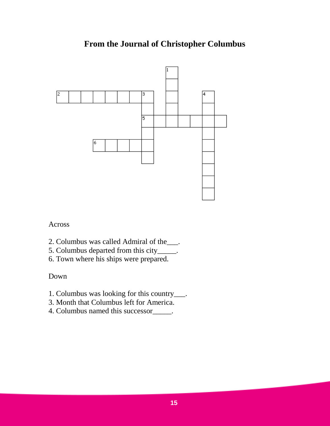#### **From the Journal of Christopher Columbus**



Across

- 2. Columbus was called Admiral of the\_\_\_.
- 5. Columbus departed from this city\_\_\_\_\_.
- 6. Town where his ships were prepared.

- 1. Columbus was looking for this country\_\_\_.
- 3. Month that Columbus left for America.
- 4. Columbus named this successor\_\_\_\_\_.